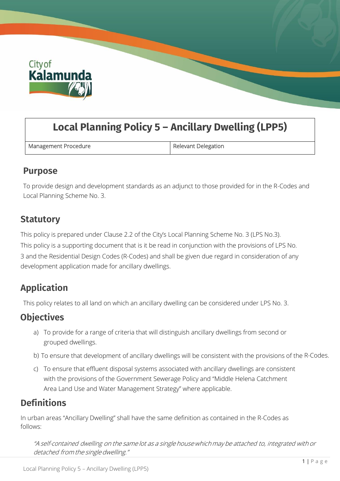

# **Local Planning Policy 5 – Ancillary Dwelling (LPP5)**

Management Procedure **Relevant Delegation** 

#### **Purpose**

To provide design and development standards as an adjunct to those provided for in the R-Codes and Local Planning Scheme No. 3.

### **Statutory**

This policy is prepared under Clause 2.2 of the City's Local Planning Scheme No. 3 (LPS No.3). This policy is a supporting document that is it be read in conjunction with the provisions of LPS No. 3 and the Residential Design Codes (R-Codes) and shall be given due regard in consideration of any development application made for ancillary dwellings.

# **Application**

This policy relates to all land on which an ancillary dwelling can be considered under LPS No. 3.

# **Objectives**

- a) To provide for a range of criteria that will distinguish ancillary dwellings from second or grouped dwellings.
- b) To ensure that development of ancillary dwellings will be consistent with the provisions of the R-Codes.
- c) To ensure that effluent disposal systems associated with ancillary dwellings are consistent with the provisions of the Government Sewerage Policy and "Middle Helena Catchment Area Land Use and Water Management Strategy" where applicable.

### **Definitions**

In urban areas "Ancillary Dwelling" shall have the same definition as contained in the R-Codes as follows:

"A self-contained dwelling on the same lot as <sup>a</sup> singlehousewhichmay be attached to, integrated with or detached from the single dwelling."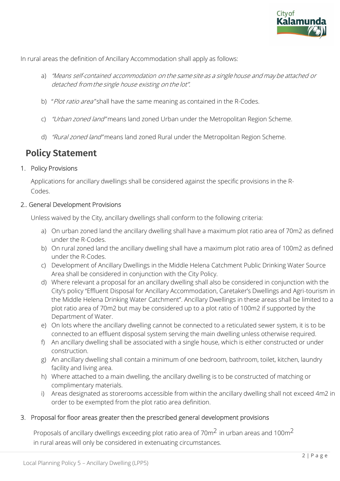

In rural areas the definition of Ancillary Accommodation shall apply as follows:

- a) "Means self-contained accommodation on the same site as a single house and may be attached or detached from the single house existing on the lot".
- b) "Plot ratio area" shall have the same meaning as contained in the R-Codes.
- c) "Urban zoned land" means land zoned Urban under the Metropolitan Region Scheme.
- d) "Rural zoned land" means land zoned Rural under the Metropolitan Region Scheme.

### **Policy Statement**

#### 1. Policy Provisions

Applications for ancillary dwellings shall be considered against the specific provisions in the R-Codes.

#### 2.. General Development Provisions

Unless waived by the City, ancillary dwellings shall conform to the following criteria:

- a) On urban zoned land the ancillary dwelling shall have a maximum plot ratio area of 70m2 as defined under the R-Codes.
- b) On rural zoned land the ancillary dwelling shall have a maximum plot ratio area of 100m2 as defined under the R-Codes.
- c) Development of Ancillary Dwellings in the Middle Helena Catchment Public Drinking Water Source Area shall be considered in conjunction with the City Policy.
- d) Where relevant a proposal for an ancillary dwelling shall also be considered in conjunction with the City's policy "Effluent Disposal for Ancillary Accommodation, Caretaker's Dwellings and Agri-tourism in the Middle Helena Drinking Water Catchment". Ancillary Dwellings in these areas shall be limited to a plot ratio area of 70m2 but may be considered up to a plot ratio of 100m2 if supported by the Department of Water.
- e) On lots where the ancillary dwelling cannot be connected to a reticulated sewer system, it is to be connected to an effluent disposal system serving the main dwelling unless otherwise required.
- f) An ancillary dwelling shall be associated with a single house, which is either constructed or under construction.
- g) An ancillary dwelling shall contain a minimum of one bedroom, bathroom, toilet, kitchen, laundry facility and living area.
- h) Where attached to a main dwelling, the ancillary dwelling is to be constructed of matching or complimentary materials.
- i) Areas designated as storerooms accessible from within the ancillary dwelling shall not exceed 4m2 in order to be exempted from the plot ratio area definition.

#### 3. Proposal for floor areas greater then the prescribed general development provisions

Proposals of ancillary dwellings exceeding plot ratio area of 70 $\mathrm{m}^2$  in urban areas and 100 $\mathrm{m}^2$ in rural areas will only be considered in extenuating circumstances.